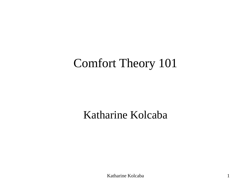### Comfort Theory 101

#### Katharine Kolcaba

Katharine Kolcaba 1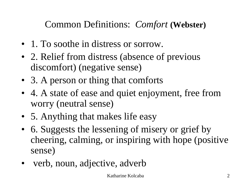Common Definitions: *Comfort* **(Webster)**

- 1. To soothe in distress or sorrow.
- 2. Relief from distress (absence of previous discomfort) (negative sense)
- 3. A person or thing that comforts
- 4. A state of ease and quiet enjoyment, free from worry (neutral sense)
- 5. Anything that makes life easy
- 6. Suggests the lessening of misery or grief by cheering, calming, or inspiring with hope (positive sense)
- verb, noun, adjective, adverb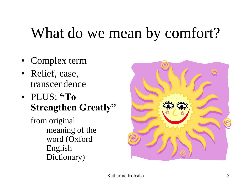## What do we mean by comfort?

- Complex term
- Relief, ease, transcendence
- PLUS: **"To Strengthen Greatly"**
	- from original meaning of the word (Oxford English Dictionary)

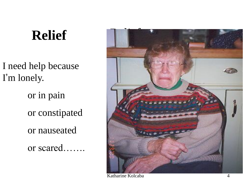### **Relief** Relief

I need help because I'm lonely.

> or in pain or constipated or nauseated

or scared…….

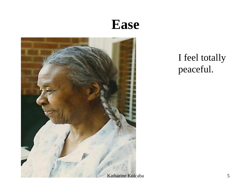### **Ease**



#### I feel totally peaceful.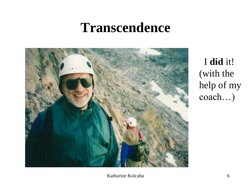### **Transcendence**



I **did** it! (with the help of my coach…)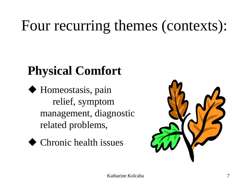## Four recurring themes (contexts):

## **Physical Comfort**

- ◆ Homeostasis, pain relief, symptom management, diagnostic related problems,
	- ◆ Chronic health issues

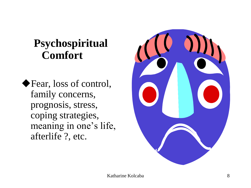#### **Psychospiritual Comfort**

◆Fear, loss of control, family concerns, prognosis, stress, coping strategies, meaning in one's life, afterlife ?, etc.

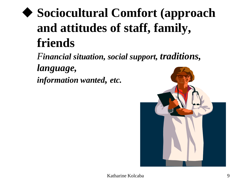## ◆ **Sociocultural Comfort (approach and attitudes of staff, family, friends**

*Financial situation, social support, traditions, language, information wanted, etc.*

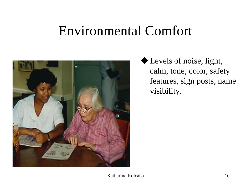### Environmental Comfort



◆Levels of noise, light, calm, tone, color, safety features, sign posts, name visibility,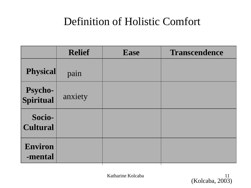#### Definition of Holistic Comfort

|                             | <b>Relief</b> | <b>Ease</b> | <b>Transcendence</b> |
|-----------------------------|---------------|-------------|----------------------|
| <b>Physical</b>             | pain          |             |                      |
| <b>Psycho-</b><br>Spiritual | anxiety       |             |                      |
| Socio-<br><b>Cultural</b>   |               |             |                      |
| <b>Environ</b><br>-mental   |               |             |                      |

Katharine Kolcaba 11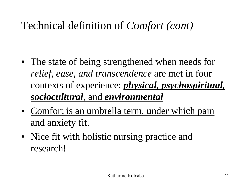### Technical definition of *Comfort (cont)*

- The state of being strengthened when needs for *relief, ease, and transcendence* are met in four contexts of experience: *physical, psychospiritual, sociocultural*, and *environmental*
- Comfort is an umbrella term, under which pain and anxiety fit.
- Nice fit with holistic nursing practice and research!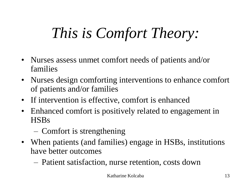# *This is Comfort Theory:*

- Nurses assess unmet comfort needs of patients and/or families
- Nurses design comforting interventions to enhance comfort of patients and/or families
- If intervention is effective, comfort is enhanced
- Enhanced comfort is positively related to engagement in HSBs
	- Comfort is strengthening
- When patients (and families) engage in HSBs, institutions have better outcomes
	- Patient satisfaction, nurse retention, costs down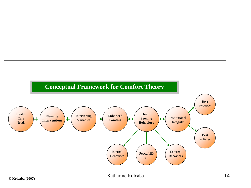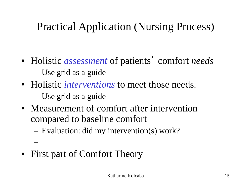### Practical Application (Nursing Process)

- Holistic *assessment* of patients' comfort *needs* – Use grid as a guide
- Holistic *interventions* to meet those needs.

– Use grid as a guide

–

- Measurement of comfort after intervention compared to baseline comfort
	- Evaluation: did my intervention(s) work?
- First part of Comfort Theory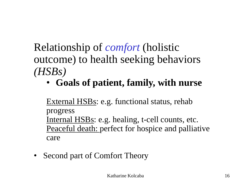### Relationship of *comfort* (holistic outcome) to health seeking behaviors *(HSBs)*

• **Goals of patient, family, with nurse**

External HSBs: e.g. functional status, rehab progress Internal HSBs: e.g. healing, t-cell counts, etc. Peaceful death: perfect for hospice and palliative care

• Second part of Comfort Theory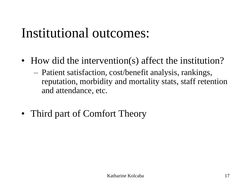## Institutional outcomes:

- How did the intervention(s) affect the institution?
	- Patient satisfaction, cost/benefit analysis, rankings, reputation, morbidity and mortality stats, staff retention and attendance, etc.
- Third part of Comfort Theory